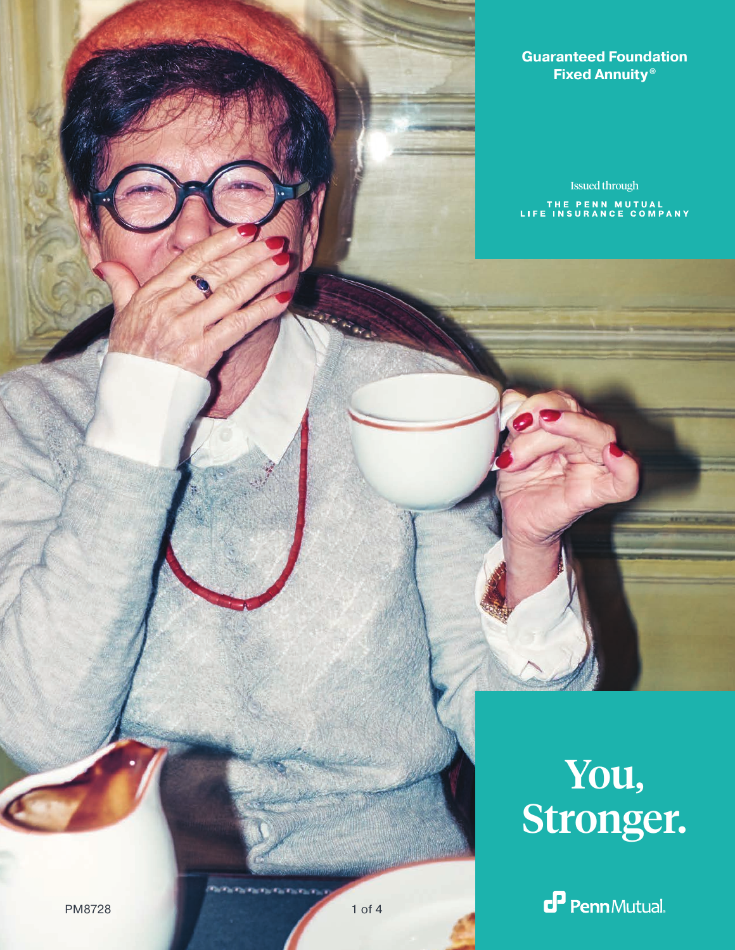## **Guaranteed Foundation Fixed Annuity ®**

Issued throughTHE PENN MUTUAL<br>LIFE INSURANCE COMPANY

# You, Stronger.

 $\mathbf{P}$  PennMutual.

PM8728 1 of 4

**Participate Participate**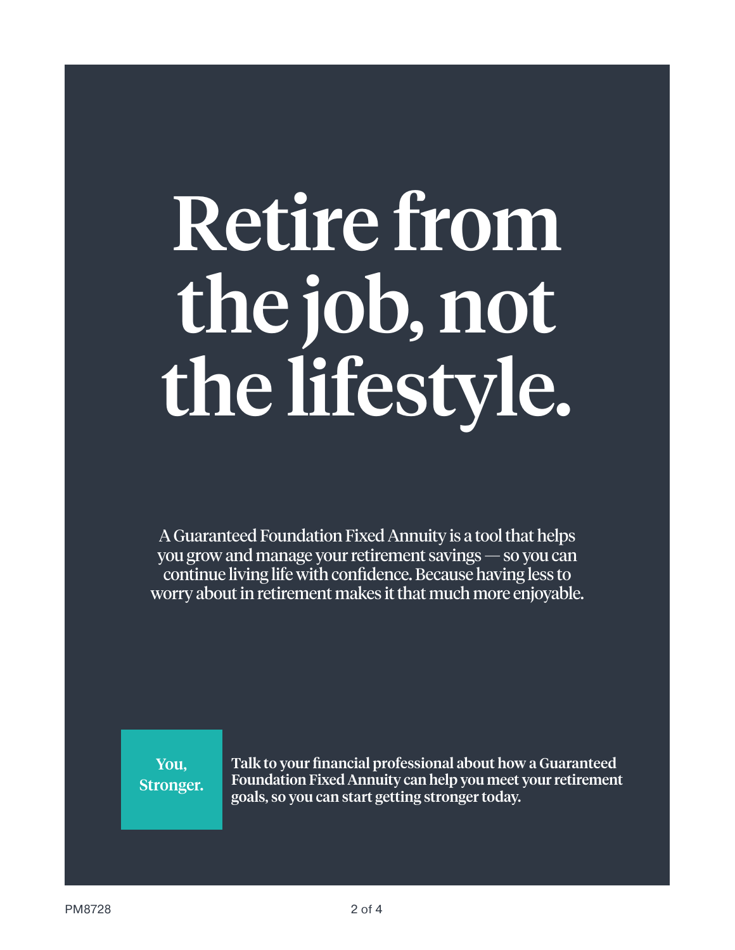# Retire from the job, not the lifestyle.

A Guaranteed Foundation Fixed Annuity is a tool that helps you grow and manage your retirement savings — so you can continue living life with confidence. Because having less to worry about in retirement makes it that much more enjoyable.

You, Stronger. Talk to your financial professional about how a Guaranteed Foundation Fixed Annuity can help you meet your retirement goals, so you can start getting stronger today.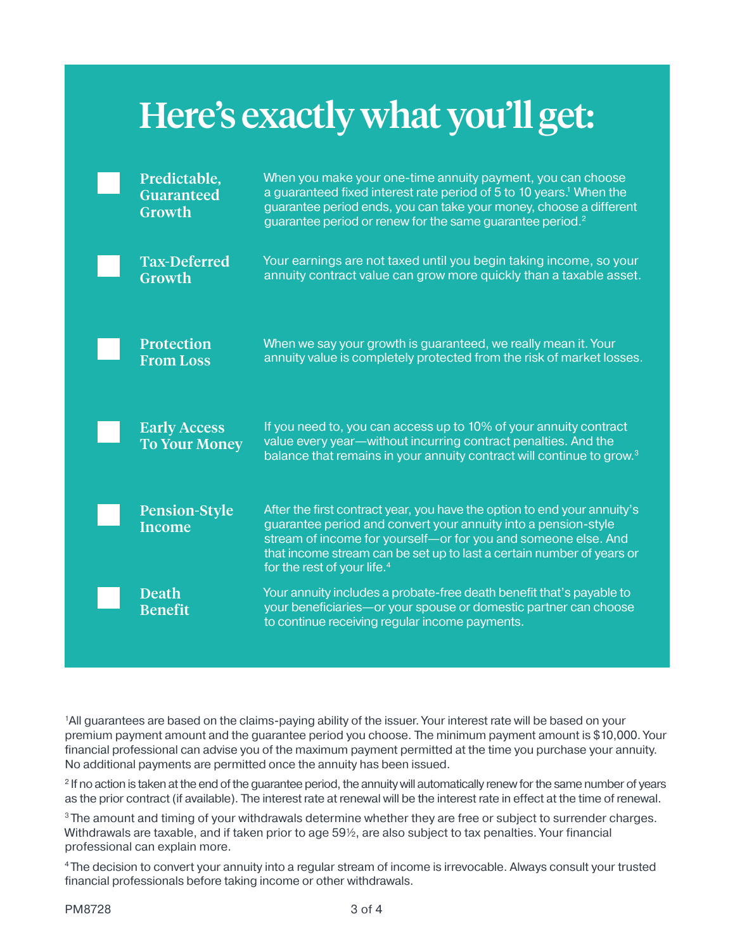# Here's exactly what you'll get:

| Predictable,<br><b>Guaranteed</b><br>Growth | When you make your one-time annuity payment, you can choose<br>a guaranteed fixed interest rate period of 5 to 10 years. <sup>1</sup> When the<br>guarantee period ends, you can take your money, choose a different<br>guarantee period or renew for the same guarantee period. <sup>2</sup>                                    |
|---------------------------------------------|----------------------------------------------------------------------------------------------------------------------------------------------------------------------------------------------------------------------------------------------------------------------------------------------------------------------------------|
| <b>Tax-Deferred</b><br>Growth               | Your earnings are not taxed until you begin taking income, so your<br>annuity contract value can grow more quickly than a taxable asset.                                                                                                                                                                                         |
| <b>Protection</b><br><b>From Loss</b>       | When we say your growth is guaranteed, we really mean it. Your<br>annuity value is completely protected from the risk of market losses.                                                                                                                                                                                          |
| <b>Early Access</b><br><b>To Your Money</b> | If you need to, you can access up to 10% of your annuity contract<br>value every year-without incurring contract penalties. And the<br>balance that remains in your annuity contract will continue to grow. <sup>3</sup>                                                                                                         |
| <b>Pension-Style</b><br><b>Income</b>       | After the first contract year, you have the option to end your annuity's<br>guarantee period and convert your annuity into a pension-style<br>stream of income for yourself-or for you and someone else. And<br>that income stream can be set up to last a certain number of years or<br>for the rest of your life. <sup>4</sup> |
| <b>Death</b><br><b>Benefit</b>              | Your annuity includes a probate-free death benefit that's payable to<br>your beneficiaries-or your spouse or domestic partner can choose<br>to continue receiving regular income payments.                                                                                                                                       |

1 All guarantees are based on the claims-paying ability of the issuer. Your interest rate will be based on your premium payment amount and the guarantee period you choose. The minimum payment amount is \$10,000. Your financial professional can advise you of the maximum payment permitted at the time you purchase your annuity. No additional payments are permitted once the annuity has been issued.

2 If no action is taken at the end of the guarantee period, the annuity will automatically renew for the same number of years as the prior contract (if available). The interest rate at renewal will be the interest rate in effect at the time of renewal.

<sup>3</sup> The amount and timing of your withdrawals determine whether they are free or subject to surrender charges. Withdrawals are taxable, and if taken prior to age 59½, are also subject to tax penalties. Your financial professional can explain more.

4 The decision to convert your annuity into a regular stream of income is irrevocable. Always consult your trusted financial professionals before taking income or other withdrawals.